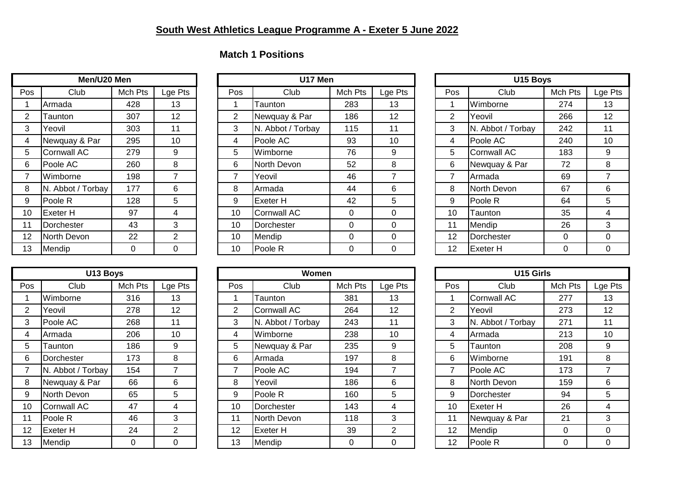## **Match 1 Positions**

| Men/U20 Men     |                    |         |         |  |  |  |  |  |  |  |
|-----------------|--------------------|---------|---------|--|--|--|--|--|--|--|
| Pos             | Club               | Mch Pts | Lge Pts |  |  |  |  |  |  |  |
| 1               | Armada             | 428     | 13      |  |  |  |  |  |  |  |
| 2               | Taunton            | 307     | 12      |  |  |  |  |  |  |  |
| 3               | Yeovil             | 303     | 11      |  |  |  |  |  |  |  |
| 4               | Newquay & Par      | 295     | 10      |  |  |  |  |  |  |  |
| 5               | <b>Cornwall AC</b> | 279     | 9       |  |  |  |  |  |  |  |
| 6               | Poole AC           | 260     | 8       |  |  |  |  |  |  |  |
| 7               | Wimborne           | 198     | 7       |  |  |  |  |  |  |  |
| 8               | N. Abbot / Torbay  | 177     | 6       |  |  |  |  |  |  |  |
| 9               | Poole R            | 128     | 5       |  |  |  |  |  |  |  |
| 10              | Exeter H           | 97      | 4       |  |  |  |  |  |  |  |
| 11              | Dorchester         | 43      | 3       |  |  |  |  |  |  |  |
| 12 <sup>2</sup> | North Devon        | 22      | 2       |  |  |  |  |  |  |  |
| 13              | Mendip             | 0       | ი       |  |  |  |  |  |  |  |

| Men/U20 Men |                    |         |         |  |     | U17 Men            |         |         |                | U15 Boys          |         |         |  |
|-------------|--------------------|---------|---------|--|-----|--------------------|---------|---------|----------------|-------------------|---------|---------|--|
| Pos         | Club               | Mch Pts | Lge Pts |  | Pos | Club               | Mch Pts | Lge Pts | Pos            | Club              | Mch Pts | Lge Pts |  |
|             | Armada             | 428     | 13      |  |     | Taunton            | 283     | 13      |                | Wimborne          | 274     | 13      |  |
| 2           | Taunton            | 307     | 12      |  | 2   | Newquay & Par      | 186     | 12      | $\overline{2}$ | Yeovil            | 266     | 12      |  |
| 3           | Yeovil             | 303     | 11      |  | 3   | N. Abbot / Torbay  | 115     | 11      | 3              | N. Abbot / Torbay | 242     | 11      |  |
| 4           | Newquay & Par      | 295     | 10      |  | 4   | Poole AC           | 93      | 10      | 4              | Poole AC          | 240     | 10      |  |
| 5           | <b>Cornwall AC</b> | 279     | 9       |  | 5   | Wimborne           | 76      | 9       | 5              | Cornwall AC       | 183     | 9       |  |
| 6           | Poole AC           | 260     | 8       |  | 6   | North Devon        | 52      | 8       | 6              | Newquay & Par     | 72      | 8       |  |
|             | Wimborne           | 198     | 7       |  |     | Yeovil             | 46      |         | $\overline{ }$ | Armada            | 69      |         |  |
| 8           | N. Abbot / Torbay  | 177     | 6       |  | 8   | Armada             | 44      | 6       | 8              | North Devon       | 67      | 6       |  |
| 9           | Poole R            | 128     | 5       |  | 9   | Exeter H           | 42      | 5       | 9              | Poole R           | 64      | 5       |  |
| 10          | <b>Exeter H</b>    | 97      | 4       |  | 10  | Cornwall AC        | 0       | 0       | 10             | Taunton           | 35      | 4       |  |
| 11          | Dorchester         | 43      | 3       |  | 10  | Dorchester         | 0       | 0       | 11             | Mendip            | 26      | 3       |  |
| 12          | North Devon        | 22      | 2       |  | 10  | Mendip             | 0       | 0       | 12             | Dorchester        | 0       | 0       |  |
| 13          | Mendip             | 0       | 0       |  | 10  | Poole <sub>R</sub> | 0       | 0       | 12             | <b>Exeter H</b>   | 0       | 0       |  |

| U15 Boys       |                    |         |         |  |  |  |  |  |  |  |  |
|----------------|--------------------|---------|---------|--|--|--|--|--|--|--|--|
| Pos            | Club               | Mch Pts | Lge Pts |  |  |  |  |  |  |  |  |
| 1              | Wimborne           | 274     | 13      |  |  |  |  |  |  |  |  |
| $\overline{2}$ | Yeovil             | 266     | 12      |  |  |  |  |  |  |  |  |
| 3              | N. Abbot / Torbay  | 242     | 11      |  |  |  |  |  |  |  |  |
| 4              | Poole AC           | 240     | 10      |  |  |  |  |  |  |  |  |
| 5              | <b>Cornwall AC</b> | 183     | 9       |  |  |  |  |  |  |  |  |
| 6              | Newquay & Par      | 72      | 8       |  |  |  |  |  |  |  |  |
| 7              | Armada             | 69      | 7       |  |  |  |  |  |  |  |  |
| 8              | North Devon        | 67      | 6       |  |  |  |  |  |  |  |  |
| 9              | Poole R            | 64      | 5       |  |  |  |  |  |  |  |  |
| 10             | Taunton            | 35      | 4       |  |  |  |  |  |  |  |  |
| 11             | Mendip             | 26      | 3       |  |  |  |  |  |  |  |  |
| 12             | Dorchester         | 0       | 0       |  |  |  |  |  |  |  |  |
| 12             | Exeter H           | በ       | U       |  |  |  |  |  |  |  |  |

| U13 Boys |                    |         |                |  |  |  |  |  |  |  |
|----------|--------------------|---------|----------------|--|--|--|--|--|--|--|
| Pos      | Club               | Mch Pts | Lge Pts        |  |  |  |  |  |  |  |
| 1        | Wimborne           | 316     | 13             |  |  |  |  |  |  |  |
| 2        | Yeovil             | 278     | 12             |  |  |  |  |  |  |  |
| 3        | Poole AC           | 268     | 11             |  |  |  |  |  |  |  |
| 4        | Armada             | 206     | 10             |  |  |  |  |  |  |  |
| 5        | Taunton            | 186     | 9              |  |  |  |  |  |  |  |
| 6        | Dorchester         | 173     | 8              |  |  |  |  |  |  |  |
| 7        | N. Abbot / Torbay  | 154     | 7              |  |  |  |  |  |  |  |
| 8        | Newquay & Par      | 66      | 6              |  |  |  |  |  |  |  |
| 9        | North Devon        | 65      | 5              |  |  |  |  |  |  |  |
| 10       | <b>Cornwall AC</b> | 47      | 4              |  |  |  |  |  |  |  |
| 11       | Poole R            | 46      | 3              |  |  |  |  |  |  |  |
| 12       | Exeter H           | 24      | $\overline{2}$ |  |  |  |  |  |  |  |
| 13       | Mendip             | 0       | ი              |  |  |  |  |  |  |  |

| U13 Boys |                    |         |                 |  |                | Women             |         |                | U15 Girls                |                   |          |             |  |  |
|----------|--------------------|---------|-----------------|--|----------------|-------------------|---------|----------------|--------------------------|-------------------|----------|-------------|--|--|
| Pos      | Club               | Mch Pts | Lge Pts         |  | Pos            | Club              | Mch Pts | Lge Pts        | Pos                      | Club              | Mch Pts  | Lge I       |  |  |
|          | Wimborne           | 316     | 13              |  |                | Taunton           | 381     | 13             |                          | Cornwall AC       | 277      | 13          |  |  |
| 2        | Yeovil             | 278     | 12 <sub>2</sub> |  | $\overline{2}$ | Cornwall AC       | 264     | 12             | 2                        | Yeovil            | 273      | 12          |  |  |
| 3        | Poole AC           | 268     | 11              |  | 3              | N. Abbot / Torbay | 243     | 11             | 3                        | N. Abbot / Torbay | 271      | 11          |  |  |
| 4        | Armada             | 206     | 10              |  | 4              | Wimborne          | 238     | 10             | 4                        | Armada            | 213      | 10          |  |  |
| 5        | Taunton            | 186     | 9               |  | 5              | Newquay & Par     | 235     | 9              | 5                        | Taunton           | 208      | 9           |  |  |
| 6        | Dorchester         | 173     | 8               |  | 6              | Armada            | 197     | 8              | 6                        | Wimborne          | 191      | 8           |  |  |
| 7        | N. Abbot / Torbay  | 154     | 7               |  |                | Poole AC          | 194     | $\overline{7}$ | $\overline{\phantom{a}}$ | Poole AC          | 173      |             |  |  |
| 8        | Newquay & Par      | 66      | 6               |  | 8              | Yeovil            | 186     | 6              | 8                        | North Devon       | 159      | 6           |  |  |
| 9        | North Devon        | 65      | 5               |  | 9              | Poole R           | 160     | 5              | 9                        | Dorchester        | 94       | 5           |  |  |
| 10       | <b>Cornwall AC</b> | 47      | 4               |  | 10             | Dorchester        | 143     | 4              | 10                       | <b>Exeter H</b>   | 26       | 4           |  |  |
| 11       | Poole R            | 46      | 3               |  | 11             | North Devon       | 118     | 3              | 11                       | Newquay & Par     | 21       | 3           |  |  |
| 12       | <b>Exeter H</b>    | 24      | $\overline{2}$  |  | 12             | Exeter H          | 39      | $\overline{2}$ | 12                       | Mendip            | $\Omega$ | $\mathbf 0$ |  |  |
| 13       | Mendip             | 0       | 0               |  | 13             | Mendip            | 0       | 0              | $12 \overline{ }$        | Poole R           | 0        | $\Omega$    |  |  |

| U13 Boys       |                    |          |                |  | Women |                    |         |          |  | U15 Girls      |                    |          |         |  |
|----------------|--------------------|----------|----------------|--|-------|--------------------|---------|----------|--|----------------|--------------------|----------|---------|--|
| Pos            | Club               | Mch Pts  | Lge Pts        |  | Pos   | Club               | Mch Pts | Lge Pts  |  | Pos            | Club               | Mch Pts  | Lge Pts |  |
|                | Wimborne           | 316      | 13             |  |       | Taunton            | 381     | 13       |  |                | <b>Cornwall AC</b> | 277      | 13      |  |
| $\overline{2}$ | Yeovil             | 278      | 12             |  | 2     | Cornwall AC        | 264     | 12       |  | $\overline{2}$ | Yeovil             | 273      | 12      |  |
| 3              | Poole AC           | 268      | 11             |  | 3     | N. Abbot / Torbay  | 243     | 11       |  | 3              | N. Abbot / Torbay  | 271      | 11      |  |
| 4              | Armada             | 206      | 10             |  | 4     | Wimborne           | 238     | 10       |  | 4              | Armada             | 213      | 10      |  |
| 5              | Taunton            | 186      | 9              |  | 5     | Newquay & Par      | 235     | 9        |  | 5.             | Taunton            | 208      | 9       |  |
| 6              | Dorchester         | 173      | 8              |  | 6     | Armada             | 197     | 8        |  | 6              | Wimborne           | 191      | 8       |  |
|                | N. Abbot / Torbay  | 154      |                |  | 7     | Poole AC           | 194     |          |  |                | Poole AC           | 173      |         |  |
| 8              | Newquay & Par      | 66       | 6              |  | 8     | Yeovil             | 186     | 6        |  | 8              | North Devon        | 159      | 6       |  |
| 9              | North Devon        | 65       | 5              |  | 9     | Poole R            | 160     | 5        |  | 9              | Dorchester         | 94       | 5       |  |
| 10             | <b>Cornwall AC</b> | 47       | 4              |  | 10    | <b>IDorchester</b> | 143     | 4        |  | 10             | <b>Exeter H</b>    | 26       | 4       |  |
| 11             | Poole R            | 46       | 3              |  | 11    | North Devon        | 118     | 3        |  | 11             | Newquay & Par      | 21       | 3       |  |
| 12             | <b>Exeter H</b>    | 24       | $\overline{2}$ |  | 12    | <b>Exeter H</b>    | 39      | 2        |  | 12             | Mendip             | 0        | 0       |  |
| 13             | Mendip             | $\Omega$ | 0              |  | 13    | Mendip             | 0       | $\Omega$ |  | 12             | Poole R            | $\Omega$ | 0       |  |